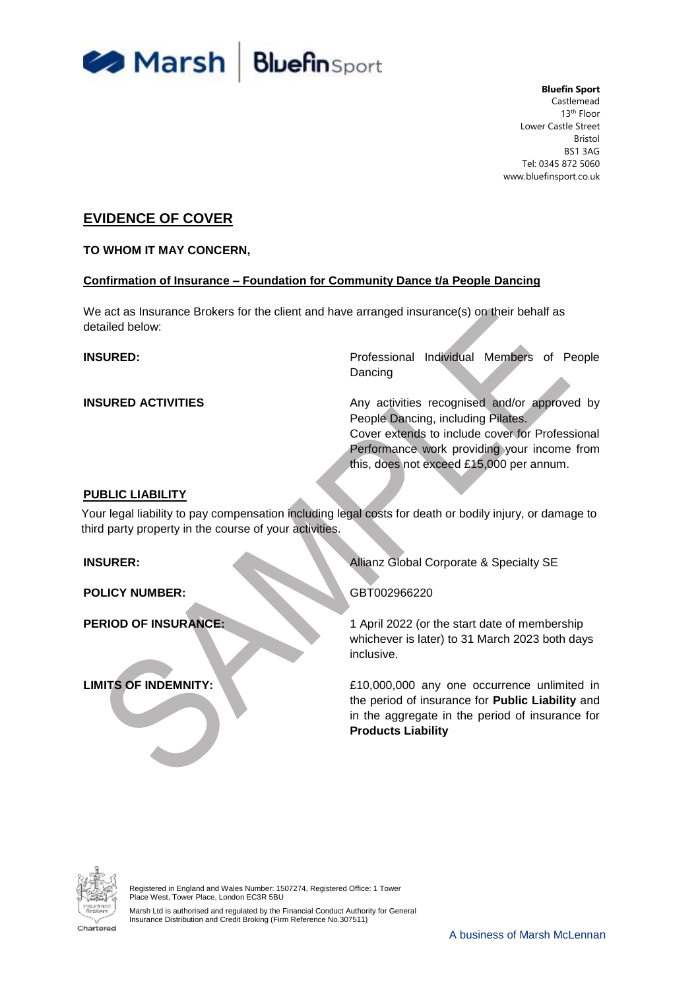

**Bluefin Sport**

Castlemead 13th Floor Lower Castle Street Bristol BS1 3AG Tel: 0345 872 5060 www.bluefinsport.co.uk

# **EVIDENCE OF COVER**

## **TO WHOM IT MAY CONCERN,**

## **Confirmation of Insurance – Foundation for Community Dance t/a People Dancing**

We act as Insurance Brokers for the client and have arranged insurance(s) on their behalf as detailed below:

**INSURED:** Professional Individual Members of People Dancing

**INSURED ACTIVITIES** Any activities recognised and/or approved by People Dancing, including Pilates. Cover extends to include cover for Professional Performance work providing your income from this, does not exceed £15,000 per annum.

### **PUBLIC LIABILITY**

Your legal liability to pay compensation including legal costs for death or bodily injury, or damage to third party property in the course of your activities.

**POLICY NUMBER:** GBT002966220

**INSURER:** Allianz Global Corporate & Specialty SE

**PERIOD OF INSURANCE:** 1 April 2022 (or the start date of membership whichever is later) to 31 March 2023 both days inclusive.

**LIMITS OF INDEMNITY:**  $£10,000,000$  any one occurrence unlimited in the period of insurance for **Public Liability** and in the aggregate in the period of insurance for **Products Liability**



Registered in England and Wales Number: 1507274, Registered Office: 1 Tower Place West, Tower Place, London EC3R 5BU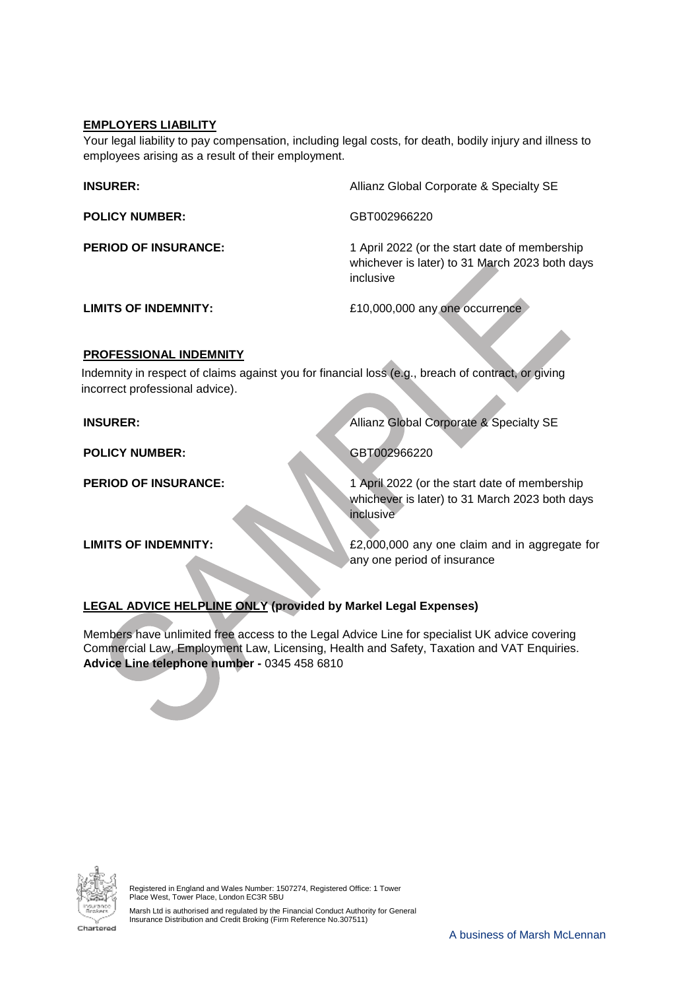# **EMPLOYERS LIABILITY**

Your legal liability to pay compensation, including legal costs, for death, bodily injury and illness to employees arising as a result of their employment.

**POLICY NUMBER:** GBT002966220

**INSURER:** Allianz Global Corporate & Specialty SE

**PERIOD OF INSURANCE:** 1 April 2022 (or the start date of membership whichever is later) to 31 March 2023 both days inclusive

LIMITS OF INDEMNITY: E10,000,000 any one occurrence

# **PROFESSIONAL INDEMNITY**

Indemnity in respect of claims against you for financial loss (e.g., breach of contract, or giving incorrect professional advice).

**INSURER:** Allianz Global Corporate & Specialty SE

**POLICY NUMBER:** GBT002966220

**PERIOD OF INSURANCE:** 1 April 2022 (or the start date of membership whichever is later) to 31 March 2023 both days inclusive

**LIMITS OF INDEMNITY:**  $E2,000,000$  any one claim and in aggregate for any one period of insurance

# **LEGAL ADVICE HELPLINE ONLY (provided by Markel Legal Expenses)**

Members have unlimited free access to the Legal Advice Line for specialist UK advice covering Commercial Law, Employment Law, Licensing, Health and Safety, Taxation and VAT Enquiries. **Advice Line telephone number -** 0345 458 6810



Registered in England and Wales Number: 1507274, Registered Office: 1 Tower Place West, Tower Place, London EC3R 5BU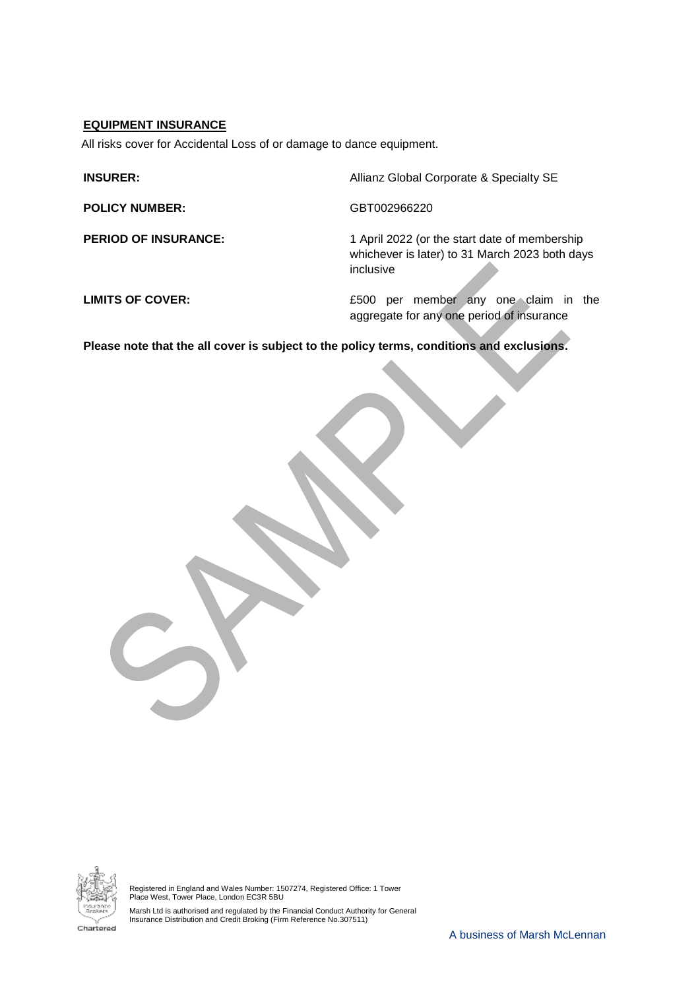## **EQUIPMENT INSURANCE**

All risks cover for Accidental Loss of or damage to dance equipment.

**POLICY NUMBER:** GBT002966220

**INSURER:** Allianz Global Corporate & Specialty SE

**PERIOD OF INSURANCE:** 1 April 2022 (or the start date of membership whichever is later) to 31 March 2023 both days inclusive

**LIMITS OF COVER:** E500 per member any one claim in the aggregate for any one period of insurance

# **Please note that the all cover is subject to the policy terms, conditions and exclusions.**



Registered in England and Wales Number: 1507274, Registered Office: 1 Tower Place West, Tower Place, London EC3R 5BU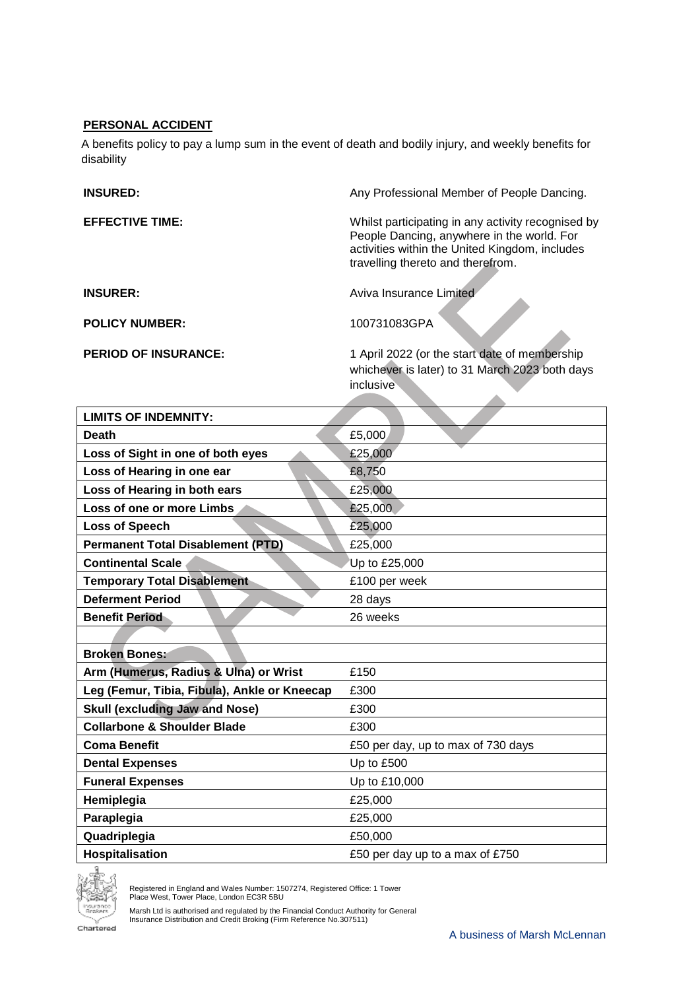## **PERSONAL ACCIDENT**

A benefits policy to pay a lump sum in the event of death and bodily injury, and weekly benefits for disability

| <b>INSURED:</b>        | Any Professional Member of People Dancing.                                                                                                                                              |
|------------------------|-----------------------------------------------------------------------------------------------------------------------------------------------------------------------------------------|
| <b>EFFECTIVE TIME:</b> | Whilst participating in any activity recognised by<br>People Dancing, anywhere in the world. For<br>activities within the United Kingdom, includes<br>travelling thereto and therefrom. |
| <b>INSURER:</b>        | Aviva Insurance Limited                                                                                                                                                                 |

**POLICY NUMBER:** 100731083GPA

**PERIOD OF INSURANCE:** 1 April 2022 (or the start date of membership whichever is later) to 31 March 2023 both days inclusive

| <b>LIMITS OF INDEMNITY:</b>                  |                                    |
|----------------------------------------------|------------------------------------|
| <b>Death</b>                                 | £5,000                             |
| Loss of Sight in one of both eyes            | £25,000                            |
| Loss of Hearing in one ear                   | £8,750                             |
| Loss of Hearing in both ears                 | £25,000                            |
| Loss of one or more Limbs                    | £25,000                            |
| <b>Loss of Speech</b>                        | £25,000                            |
| <b>Permanent Total Disablement (PTD)</b>     | £25,000                            |
| <b>Continental Scale</b>                     | Up to £25,000                      |
| <b>Temporary Total Disablement</b>           | £100 per week                      |
| <b>Deferment Period</b>                      | 28 days                            |
| <b>Benefit Period</b>                        | 26 weeks                           |
|                                              |                                    |
| <b>Broken Bones:</b>                         |                                    |
| Arm (Humerus, Radius & Ulna) or Wrist        | £150                               |
| Leg (Femur, Tibia, Fibula), Ankle or Kneecap | £300                               |
| <b>Skull (excluding Jaw and Nose)</b>        | £300                               |
| <b>Collarbone &amp; Shoulder Blade</b>       | £300                               |
| <b>Coma Benefit</b>                          | £50 per day, up to max of 730 days |
| <b>Dental Expenses</b>                       | Up to £500                         |
| <b>Funeral Expenses</b>                      | Up to £10,000                      |
| Hemiplegia                                   | £25,000                            |
| Paraplegia                                   | £25,000                            |
| Quadriplegia                                 | £50,000                            |
| <b>Hospitalisation</b>                       | £50 per day up to a max of £750    |



Registered in England and Wales Number: 1507274, Registered Office: 1 Tower Place West, Tower Place, London EC3R 5BU

Marsh Ltd is authorised and regulated by the Financial Conduct Authority for General Insurance Distribution and Credit Broking (Firm Reference No.307511)

Chartered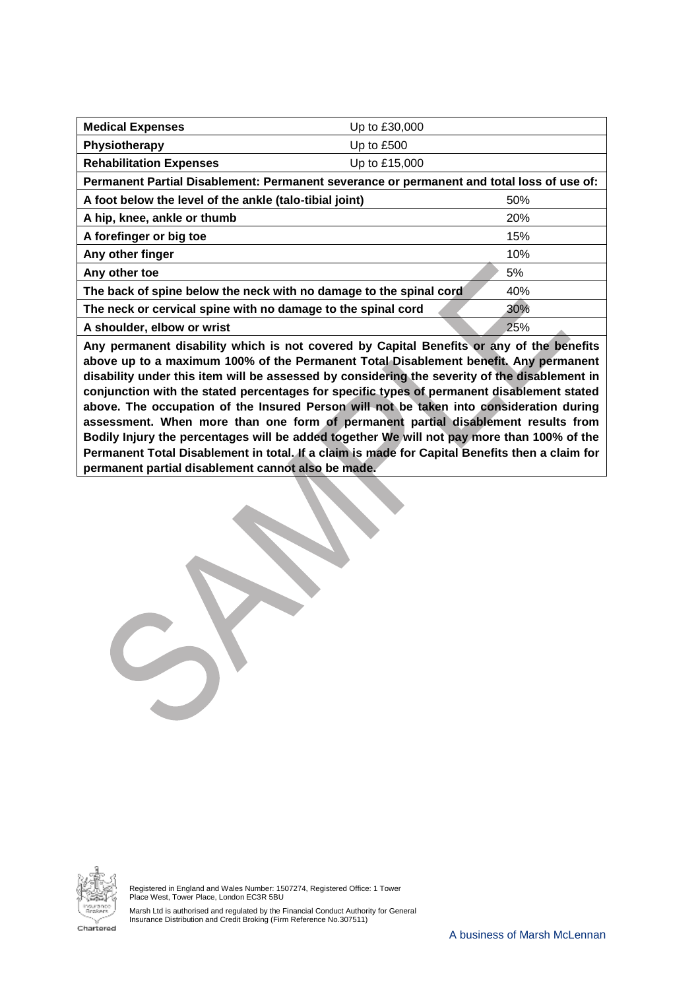| <b>Medical Expenses</b>                                                                   | Up to £30,000 |  |  |
|-------------------------------------------------------------------------------------------|---------------|--|--|
| Physiotherapy                                                                             | Up to £500    |  |  |
| <b>Rehabilitation Expenses</b>                                                            | Up to £15,000 |  |  |
| Permanent Partial Disablement: Permanent severance or permanent and total loss of use of: |               |  |  |
| A foot below the level of the ankle (talo-tibial joint)<br>50%                            |               |  |  |
| A hip, knee, ankle or thumb                                                               | 20%           |  |  |
| A forefinger or big toe                                                                   | 15%           |  |  |
| Any other finger                                                                          | 10%           |  |  |
| Any other toe                                                                             | 5%            |  |  |
| The back of spine below the neck with no damage to the spinal cord<br>40%                 |               |  |  |
| The neck or cervical spine with no damage to the spinal cord<br>30%                       |               |  |  |
| A shoulder, elbow or wrist                                                                | 25%           |  |  |

**Any permanent disability which is not covered by Capital Benefits or any of the benefits above up to a maximum 100% of the Permanent Total Disablement benefit. Any permanent disability under this item will be assessed by considering the severity of the disablement in conjunction with the stated percentages for specific types of permanent disablement stated above. The occupation of the Insured Person will not be taken into consideration during assessment. When more than one form of permanent partial disablement results from Bodily Injury the percentages will be added together We will not pay more than 100% of the Permanent Total Disablement in total. If a claim is made for Capital Benefits then a claim for permanent partial disablement cannot also be made.**



Registered in England and Wales Number: 1507274, Registered Office: 1 Tower Place West, Tower Place, London EC3R 5BU